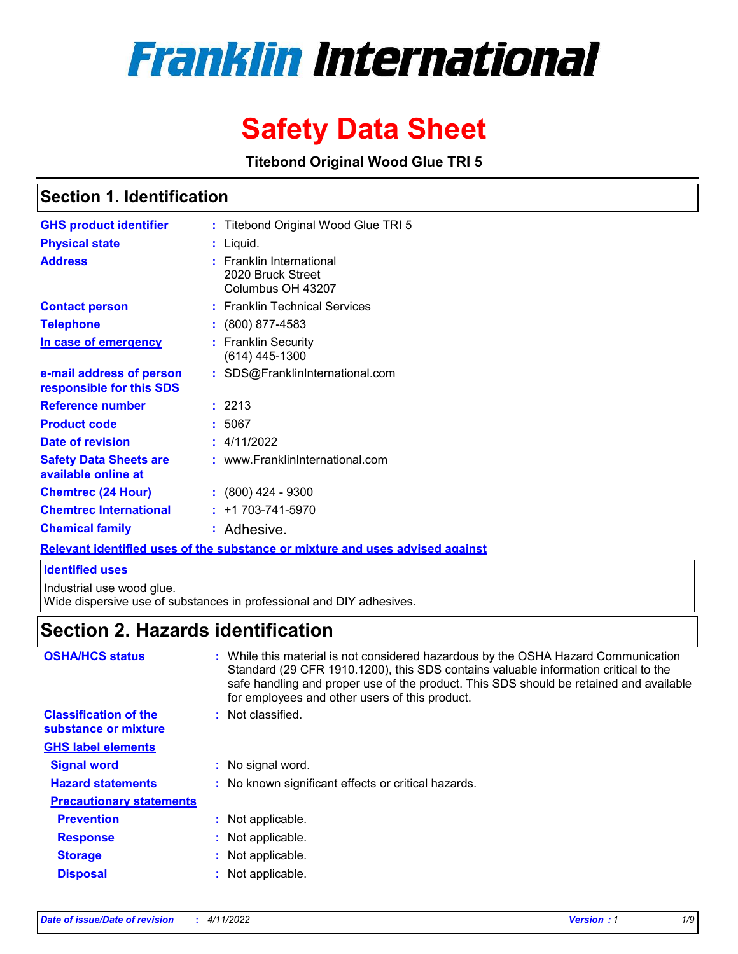# **Franklin International**

# **Safety Data Sheet**

**Titebond Original Wood Glue TRI 5**

### **Section 1. Identification**

| <b>GHS product identifier</b>                        | : Titebond Original Wood Glue TRI 5                                           |
|------------------------------------------------------|-------------------------------------------------------------------------------|
| <b>Physical state</b>                                | : Liquid.                                                                     |
| <b>Address</b>                                       | : Franklin International<br>2020 Bruck Street<br>Columbus OH 43207            |
| <b>Contact person</b>                                | : Franklin Technical Services                                                 |
| <b>Telephone</b>                                     | : (800) 877-4583                                                              |
| In case of emergency                                 | : Franklin Security<br>$(614)$ 445-1300                                       |
| e-mail address of person<br>responsible for this SDS | : SDS@FranklinInternational.com                                               |
| <b>Reference number</b>                              | : 2213                                                                        |
| <b>Product code</b>                                  | : 5067                                                                        |
| Date of revision                                     | : 4/11/2022                                                                   |
| <b>Safety Data Sheets are</b><br>available online at | : www.FranklinInternational.com                                               |
| <b>Chemtrec (24 Hour)</b>                            | $: (800)$ 424 - 9300                                                          |
| <b>Chemtrec International</b>                        | $: +1703 - 741 - 5970$                                                        |
| <b>Chemical family</b>                               | : Adhesive.                                                                   |
|                                                      | Relevant identified uses of the substance or mixture and uses advised against |

### **Identified uses**

Industrial use wood glue.

Wide dispersive use of substances in professional and DIY adhesives.

# **Section 2. Hazards identification**

| <b>OSHA/HCS status</b>                               | : While this material is not considered hazardous by the OSHA Hazard Communication<br>Standard (29 CFR 1910.1200), this SDS contains valuable information critical to the<br>safe handling and proper use of the product. This SDS should be retained and available<br>for employees and other users of this product. |
|------------------------------------------------------|-----------------------------------------------------------------------------------------------------------------------------------------------------------------------------------------------------------------------------------------------------------------------------------------------------------------------|
| <b>Classification of the</b><br>substance or mixture | : Not classified.                                                                                                                                                                                                                                                                                                     |
| <b>GHS label elements</b>                            |                                                                                                                                                                                                                                                                                                                       |
| <b>Signal word</b>                                   | : No signal word.                                                                                                                                                                                                                                                                                                     |
| <b>Hazard statements</b>                             | : No known significant effects or critical hazards.                                                                                                                                                                                                                                                                   |
| <b>Precautionary statements</b>                      |                                                                                                                                                                                                                                                                                                                       |
| <b>Prevention</b>                                    | : Not applicable.                                                                                                                                                                                                                                                                                                     |
| <b>Response</b>                                      | : Not applicable.                                                                                                                                                                                                                                                                                                     |
| <b>Storage</b>                                       | : Not applicable.                                                                                                                                                                                                                                                                                                     |
| <b>Disposal</b>                                      | Not applicable.                                                                                                                                                                                                                                                                                                       |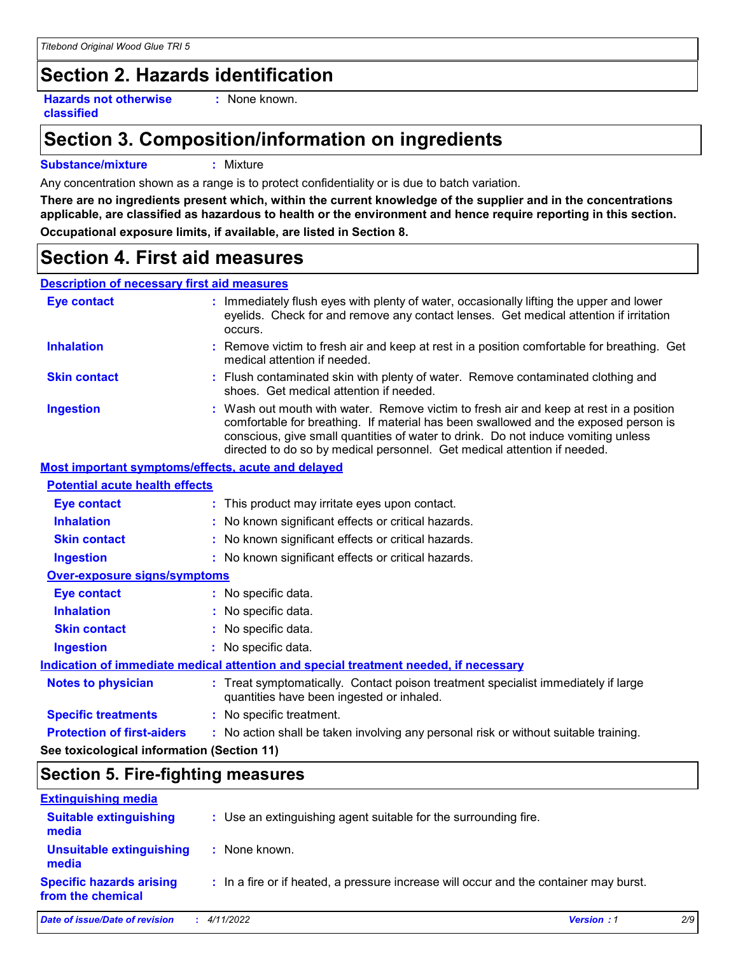# **Section 2. Hazards identification**

**Hazards not otherwise classified**

**:** None known.

# **Section 3. Composition/information on ingredients**

### **Substance/mixture :** Mixture

Any concentration shown as a range is to protect confidentiality or is due to batch variation.

**There are no ingredients present which, within the current knowledge of the supplier and in the concentrations applicable, are classified as hazardous to health or the environment and hence require reporting in this section. Occupational exposure limits, if available, are listed in Section 8.**

# **Section 4. First aid measures**

### **Description of necessary first aid measures**

| <b>Eye contact</b>                                        | : Immediately flush eyes with plenty of water, occasionally lifting the upper and lower<br>eyelids. Check for and remove any contact lenses. Get medical attention if irritation<br>occurs.                                                                                                                                                    |
|-----------------------------------------------------------|------------------------------------------------------------------------------------------------------------------------------------------------------------------------------------------------------------------------------------------------------------------------------------------------------------------------------------------------|
| <b>Inhalation</b>                                         | : Remove victim to fresh air and keep at rest in a position comfortable for breathing. Get<br>medical attention if needed.                                                                                                                                                                                                                     |
| <b>Skin contact</b>                                       | : Flush contaminated skin with plenty of water. Remove contaminated clothing and<br>shoes. Get medical attention if needed.                                                                                                                                                                                                                    |
| <b>Ingestion</b>                                          | : Wash out mouth with water. Remove victim to fresh air and keep at rest in a position<br>comfortable for breathing. If material has been swallowed and the exposed person is<br>conscious, give small quantities of water to drink. Do not induce vomiting unless<br>directed to do so by medical personnel. Get medical attention if needed. |
| <b>Most important symptoms/effects, acute and delayed</b> |                                                                                                                                                                                                                                                                                                                                                |
| <b>Potential acute health effects</b>                     |                                                                                                                                                                                                                                                                                                                                                |
| <b>Eye contact</b>                                        | : This product may irritate eyes upon contact.                                                                                                                                                                                                                                                                                                 |
| <b>Inhalation</b>                                         | : No known significant effects or critical hazards.                                                                                                                                                                                                                                                                                            |
| <b>Skin contact</b>                                       | : No known significant effects or critical hazards.                                                                                                                                                                                                                                                                                            |
| <b>Ingestion</b>                                          | : No known significant effects or critical hazards.                                                                                                                                                                                                                                                                                            |
| Over-exposure signs/symptoms                              |                                                                                                                                                                                                                                                                                                                                                |
| <b>Eye contact</b>                                        | : No specific data.                                                                                                                                                                                                                                                                                                                            |
| <b>Inhalation</b>                                         | : No specific data.                                                                                                                                                                                                                                                                                                                            |
| <b>Skin contact</b>                                       | : No specific data.                                                                                                                                                                                                                                                                                                                            |
| <b>Ingestion</b>                                          | : No specific data.                                                                                                                                                                                                                                                                                                                            |
|                                                           | Indication of immediate medical attention and special treatment needed, if necessary                                                                                                                                                                                                                                                           |
| <b>Notes to physician</b>                                 | : Treat symptomatically. Contact poison treatment specialist immediately if large<br>quantities have been ingested or inhaled.                                                                                                                                                                                                                 |
| <b>Specific treatments</b>                                | : No specific treatment.                                                                                                                                                                                                                                                                                                                       |
| <b>Protection of first-aiders</b>                         | : No action shall be taken involving any personal risk or without suitable training.                                                                                                                                                                                                                                                           |

**See toxicological information (Section 11)**

### **Section 5. Fire-fighting measures**

| <b>Extinguishing media</b>                           |                                                                                       |                   |     |
|------------------------------------------------------|---------------------------------------------------------------------------------------|-------------------|-----|
| <b>Suitable extinguishing</b><br>media               | : Use an extinguishing agent suitable for the surrounding fire.                       |                   |     |
| <b>Unsuitable extinguishing</b><br>media             | : None known.                                                                         |                   |     |
| <b>Specific hazards arising</b><br>from the chemical | : In a fire or if heated, a pressure increase will occur and the container may burst. |                   |     |
| Date of issue/Date of revision                       | $\div$ 4/11/2022                                                                      | <b>Version: 1</b> | 2/9 |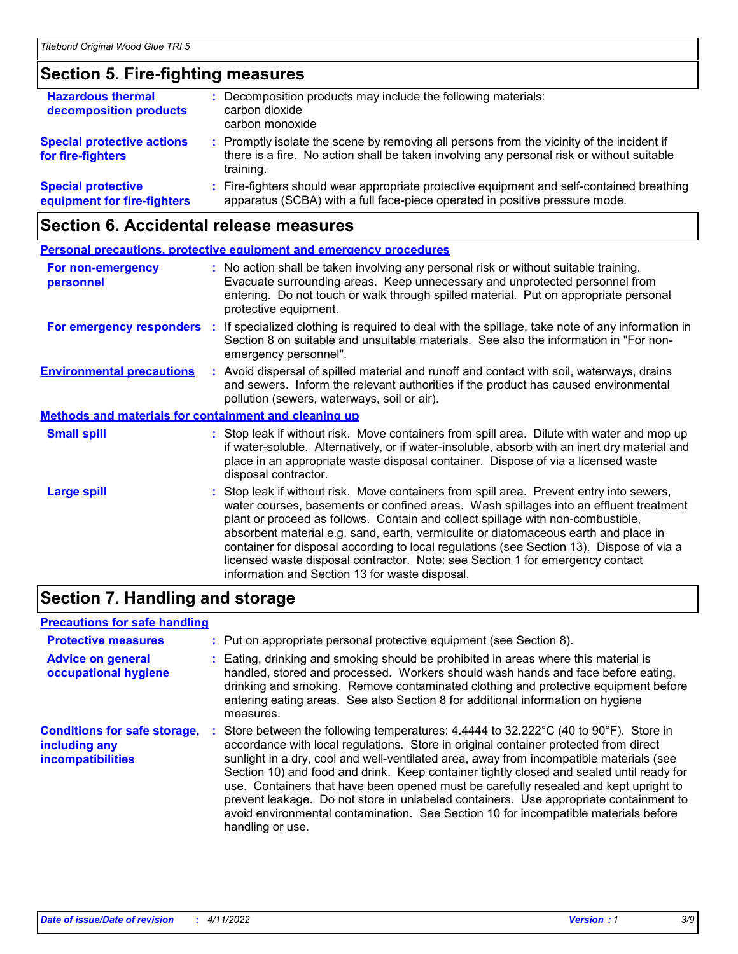# **Section 5. Fire-fighting measures**

| <b>Hazardous thermal</b><br>decomposition products       | : Decomposition products may include the following materials:<br>carbon dioxide<br>carbon monoxide                                                                                                  |
|----------------------------------------------------------|-----------------------------------------------------------------------------------------------------------------------------------------------------------------------------------------------------|
| <b>Special protective actions</b><br>for fire-fighters   | : Promptly isolate the scene by removing all persons from the vicinity of the incident if<br>there is a fire. No action shall be taken involving any personal risk or without suitable<br>training. |
| <b>Special protective</b><br>equipment for fire-fighters | : Fire-fighters should wear appropriate protective equipment and self-contained breathing<br>apparatus (SCBA) with a full face-piece operated in positive pressure mode.                            |

# **Section 6. Accidental release measures**

|                                                              | <b>Personal precautions, protective equipment and emergency procedures</b>                                                                                                                                                                                                                                                                                                                                                                                                                                                                                                                 |
|--------------------------------------------------------------|--------------------------------------------------------------------------------------------------------------------------------------------------------------------------------------------------------------------------------------------------------------------------------------------------------------------------------------------------------------------------------------------------------------------------------------------------------------------------------------------------------------------------------------------------------------------------------------------|
| For non-emergency<br>personnel                               | : No action shall be taken involving any personal risk or without suitable training.<br>Evacuate surrounding areas. Keep unnecessary and unprotected personnel from<br>entering. Do not touch or walk through spilled material. Put on appropriate personal<br>protective equipment.                                                                                                                                                                                                                                                                                                       |
|                                                              | For emergency responders : If specialized clothing is required to deal with the spillage, take note of any information in<br>Section 8 on suitable and unsuitable materials. See also the information in "For non-<br>emergency personnel".                                                                                                                                                                                                                                                                                                                                                |
| <b>Environmental precautions</b>                             | : Avoid dispersal of spilled material and runoff and contact with soil, waterways, drains<br>and sewers. Inform the relevant authorities if the product has caused environmental<br>pollution (sewers, waterways, soil or air).                                                                                                                                                                                                                                                                                                                                                            |
| <b>Methods and materials for containment and cleaning up</b> |                                                                                                                                                                                                                                                                                                                                                                                                                                                                                                                                                                                            |
| <b>Small spill</b>                                           | : Stop leak if without risk. Move containers from spill area. Dilute with water and mop up<br>if water-soluble. Alternatively, or if water-insoluble, absorb with an inert dry material and<br>place in an appropriate waste disposal container. Dispose of via a licensed waste<br>disposal contractor.                                                                                                                                                                                                                                                                                   |
| <b>Large spill</b>                                           | : Stop leak if without risk. Move containers from spill area. Prevent entry into sewers,<br>water courses, basements or confined areas. Wash spillages into an effluent treatment<br>plant or proceed as follows. Contain and collect spillage with non-combustible,<br>absorbent material e.g. sand, earth, vermiculite or diatomaceous earth and place in<br>container for disposal according to local regulations (see Section 13). Dispose of via a<br>licensed waste disposal contractor. Note: see Section 1 for emergency contact<br>information and Section 13 for waste disposal. |

# **Section 7. Handling and storage**

### **Precautions for safe handling**

| <b>Protective measures</b><br><b>Advice on general</b><br>occupational hygiene   | : Put on appropriate personal protective equipment (see Section 8).<br>: Eating, drinking and smoking should be prohibited in areas where this material is<br>handled, stored and processed. Workers should wash hands and face before eating,<br>drinking and smoking. Remove contaminated clothing and protective equipment before<br>entering eating areas. See also Section 8 for additional information on hygiene<br>measures.                                                                                                                                                                                                                                                |
|----------------------------------------------------------------------------------|-------------------------------------------------------------------------------------------------------------------------------------------------------------------------------------------------------------------------------------------------------------------------------------------------------------------------------------------------------------------------------------------------------------------------------------------------------------------------------------------------------------------------------------------------------------------------------------------------------------------------------------------------------------------------------------|
| <b>Conditions for safe storage,</b><br>including any<br><b>incompatibilities</b> | Store between the following temperatures: $4.4444$ to $32.222^{\circ}C$ (40 to $90^{\circ}F$ ). Store in<br>accordance with local regulations. Store in original container protected from direct<br>sunlight in a dry, cool and well-ventilated area, away from incompatible materials (see<br>Section 10) and food and drink. Keep container tightly closed and sealed until ready for<br>use. Containers that have been opened must be carefully resealed and kept upright to<br>prevent leakage. Do not store in unlabeled containers. Use appropriate containment to<br>avoid environmental contamination. See Section 10 for incompatible materials before<br>handling or use. |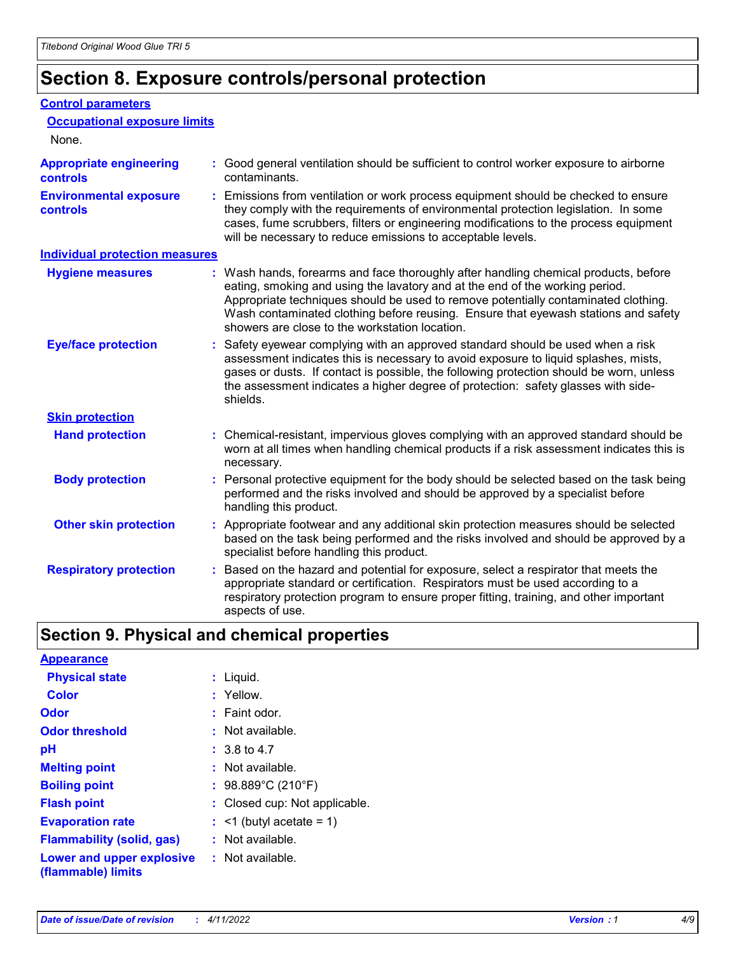# **Section 8. Exposure controls/personal protection**

### **Control parameters**

| <b>Occupational exposure limits</b>        |                                                                                                                                                                                                                                                                                                                                                                                                   |
|--------------------------------------------|---------------------------------------------------------------------------------------------------------------------------------------------------------------------------------------------------------------------------------------------------------------------------------------------------------------------------------------------------------------------------------------------------|
| None.                                      |                                                                                                                                                                                                                                                                                                                                                                                                   |
| <b>Appropriate engineering</b><br>controls | : Good general ventilation should be sufficient to control worker exposure to airborne<br>contaminants.                                                                                                                                                                                                                                                                                           |
| <b>Environmental exposure</b><br>controls  | : Emissions from ventilation or work process equipment should be checked to ensure<br>they comply with the requirements of environmental protection legislation. In some<br>cases, fume scrubbers, filters or engineering modifications to the process equipment<br>will be necessary to reduce emissions to acceptable levels.                                                                   |
| <b>Individual protection measures</b>      |                                                                                                                                                                                                                                                                                                                                                                                                   |
| <b>Hygiene measures</b>                    | : Wash hands, forearms and face thoroughly after handling chemical products, before<br>eating, smoking and using the lavatory and at the end of the working period.<br>Appropriate techniques should be used to remove potentially contaminated clothing.<br>Wash contaminated clothing before reusing. Ensure that eyewash stations and safety<br>showers are close to the workstation location. |
| <b>Eye/face protection</b>                 | : Safety eyewear complying with an approved standard should be used when a risk<br>assessment indicates this is necessary to avoid exposure to liquid splashes, mists,<br>gases or dusts. If contact is possible, the following protection should be worn, unless<br>the assessment indicates a higher degree of protection: safety glasses with side-<br>shields.                                |
| <b>Skin protection</b>                     |                                                                                                                                                                                                                                                                                                                                                                                                   |
| <b>Hand protection</b>                     | : Chemical-resistant, impervious gloves complying with an approved standard should be<br>worn at all times when handling chemical products if a risk assessment indicates this is<br>necessary.                                                                                                                                                                                                   |
| <b>Body protection</b>                     | : Personal protective equipment for the body should be selected based on the task being<br>performed and the risks involved and should be approved by a specialist before<br>handling this product.                                                                                                                                                                                               |
| <b>Other skin protection</b>               | : Appropriate footwear and any additional skin protection measures should be selected<br>based on the task being performed and the risks involved and should be approved by a<br>specialist before handling this product.                                                                                                                                                                         |
| <b>Respiratory protection</b>              | : Based on the hazard and potential for exposure, select a respirator that meets the<br>appropriate standard or certification. Respirators must be used according to a<br>respiratory protection program to ensure proper fitting, training, and other important<br>aspects of use.                                                                                                               |

# **Section 9. Physical and chemical properties**

| <b>Appearance</b>                                                       |                               |
|-------------------------------------------------------------------------|-------------------------------|
| <b>Physical state</b>                                                   | : Liquid.                     |
| Color                                                                   | : Yellow.                     |
| Odor                                                                    | $:$ Faint odor.               |
| <b>Odor threshold</b>                                                   | : Not available.              |
| рH                                                                      | $: 3.8 \text{ to } 4.7$       |
| <b>Melting point</b>                                                    | : Not available.              |
| <b>Boiling point</b>                                                    | : $98.889^{\circ}$ C (210°F)  |
| <b>Flash point</b>                                                      | : Closed cup: Not applicable. |
| <b>Evaporation rate</b>                                                 | $:$ <1 (butyl acetate = 1)    |
| <b>Flammability (solid, gas)</b>                                        | $:$ Not available.            |
| <b>Lower and upper explosive : Not available.</b><br>(flammable) limits |                               |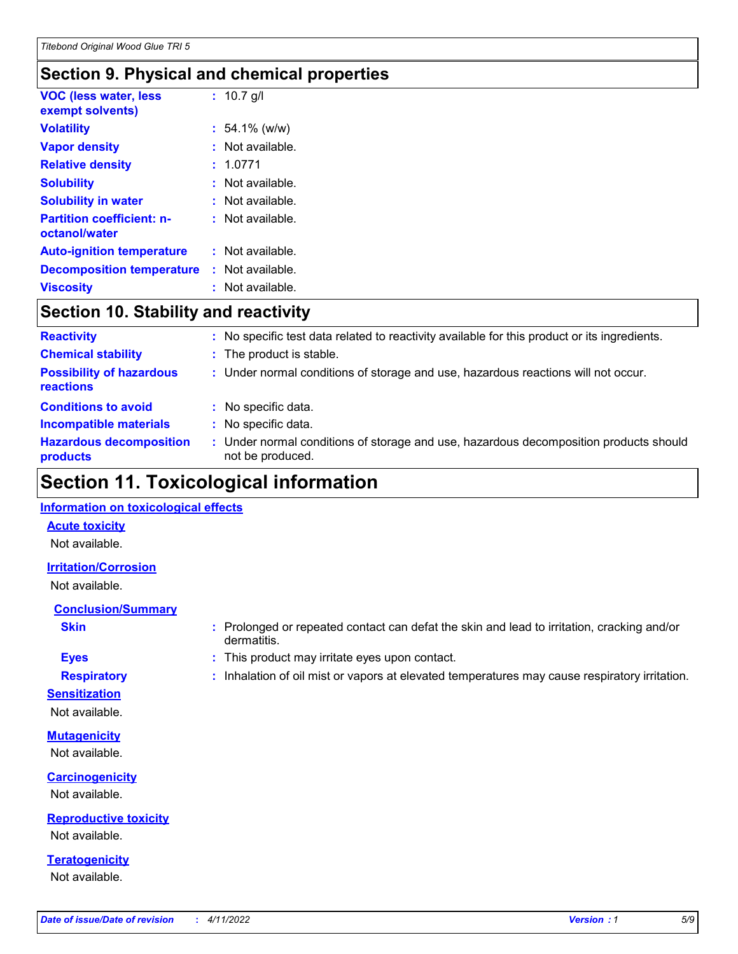### **Section 9. Physical and chemical properties**

| <b>VOC (less water, less</b><br>exempt solvents)  | : $10.7$ g/l       |
|---------------------------------------------------|--------------------|
| <b>Volatility</b>                                 | $: 54.1\%$ (w/w)   |
| <b>Vapor density</b>                              | $:$ Not available. |
| <b>Relative density</b>                           | : 1.0771           |
| <b>Solubility</b>                                 | : Not available.   |
| <b>Solubility in water</b>                        | $:$ Not available. |
| <b>Partition coefficient: n-</b><br>octanol/water | : Not available.   |
| <b>Auto-ignition temperature</b>                  | : Not available.   |
| <b>Decomposition temperature</b>                  | : Not available.   |
| <b>Viscosity</b>                                  | $:$ Not available. |

### **Section 10. Stability and reactivity**

| <b>Reactivity</b>                            |   | : No specific test data related to reactivity available for this product or its ingredients.            |
|----------------------------------------------|---|---------------------------------------------------------------------------------------------------------|
| <b>Chemical stability</b>                    |   | : The product is stable.                                                                                |
| <b>Possibility of hazardous</b><br>reactions |   | : Under normal conditions of storage and use, hazardous reactions will not occur.                       |
| <b>Conditions to avoid</b>                   | ÷ | No specific data.                                                                                       |
| <b>Incompatible materials</b>                |   | No specific data.                                                                                       |
| <b>Hazardous decomposition</b><br>products   |   | Under normal conditions of storage and use, hazardous decomposition products should<br>not be produced. |

# **Section 11. Toxicological information**

### **Information on toxicological effects**

### **Acute toxicity**

Not available.

### **Irritation/Corrosion**

Not available.

### **Conclusion/Summary**

- 
- **Sensitization**

Not available.

**Mutagenicity** Not available.

**Carcinogenicity** Not available.

**Reproductive toxicity** Not available.

**Teratogenicity** Not available.

**Skin Example 3 :** Prolonged or repeated contact can defat the skin and lead to irritation, cracking and/or dermatitis.

- **Eyes :** This product may irritate eyes upon contact.
- **Respiratory :** Inhalation of oil mist or vapors at elevated temperatures may cause respiratory irritation.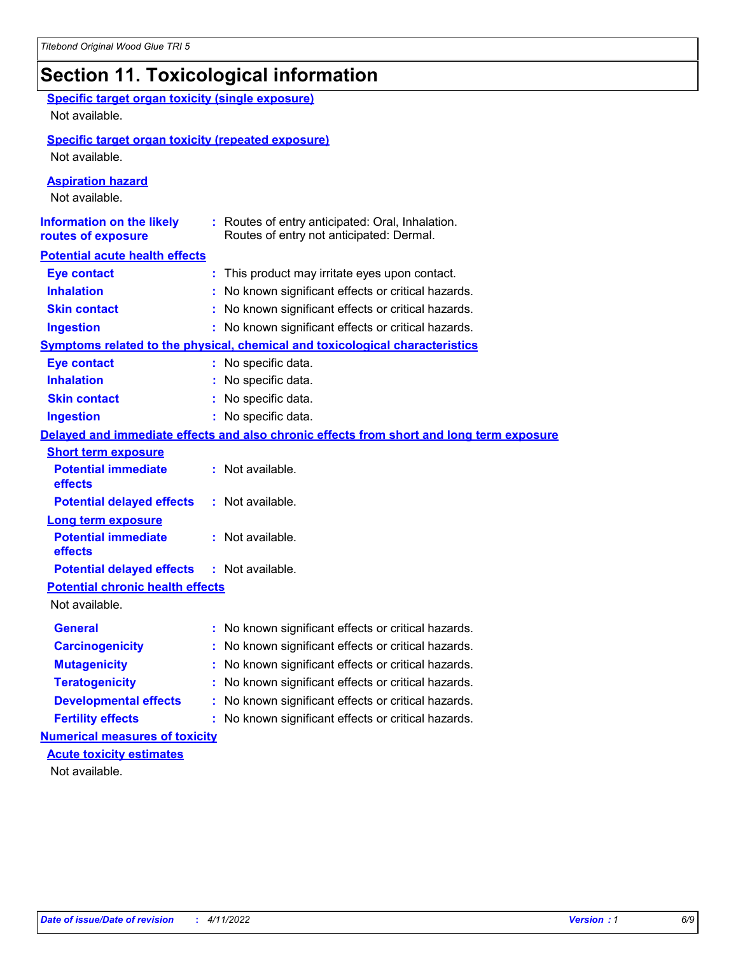# **Section 11. Toxicological information**

| <b>Specific target organ toxicity (single exposure)</b><br>Not available. |                                                                                              |
|---------------------------------------------------------------------------|----------------------------------------------------------------------------------------------|
| <b>Specific target organ toxicity (repeated exposure)</b>                 |                                                                                              |
| Not available.                                                            |                                                                                              |
| <b>Aspiration hazard</b><br>Not available.                                |                                                                                              |
| <b>Information on the likely</b><br>routes of exposure                    | : Routes of entry anticipated: Oral, Inhalation.<br>Routes of entry not anticipated: Dermal. |
| <b>Potential acute health effects</b>                                     |                                                                                              |
| <b>Eye contact</b>                                                        | : This product may irritate eyes upon contact.                                               |
| <b>Inhalation</b>                                                         | : No known significant effects or critical hazards.                                          |
| <b>Skin contact</b>                                                       | : No known significant effects or critical hazards.                                          |
| <b>Ingestion</b>                                                          | : No known significant effects or critical hazards.                                          |
|                                                                           | Symptoms related to the physical, chemical and toxicological characteristics                 |
| <b>Eye contact</b>                                                        | : No specific data.                                                                          |
| <b>Inhalation</b>                                                         | : No specific data.                                                                          |
| <b>Skin contact</b>                                                       | : No specific data.                                                                          |
| <b>Ingestion</b>                                                          | : No specific data.                                                                          |
|                                                                           | Delayed and immediate effects and also chronic effects from short and long term exposure     |
| <b>Short term exposure</b>                                                |                                                                                              |
| <b>Potential immediate</b><br>effects                                     | : Not available.                                                                             |
| <b>Potential delayed effects</b>                                          | : Not available.                                                                             |
| <b>Long term exposure</b>                                                 |                                                                                              |
| <b>Potential immediate</b><br>effects                                     | : Not available.                                                                             |
| <b>Potential delayed effects</b>                                          | : Not available.                                                                             |
| <b>Potential chronic health effects</b><br>Not available.                 |                                                                                              |
| <b>General</b>                                                            | : No known significant effects or critical hazards.                                          |
| <b>Carcinogenicity</b>                                                    | : No known significant effects or critical hazards.                                          |
| <b>Mutagenicity</b>                                                       | No known significant effects or critical hazards.                                            |
|                                                                           |                                                                                              |
| <b>Teratogenicity</b>                                                     | No known significant effects or critical hazards.                                            |
| <b>Developmental effects</b>                                              | No known significant effects or critical hazards.                                            |
| <b>Fertility effects</b>                                                  | : No known significant effects or critical hazards.                                          |
| <b>Numerical measures of toxicity</b><br><b>Acute toxicity estimates</b>  |                                                                                              |
| Not available.                                                            |                                                                                              |
|                                                                           |                                                                                              |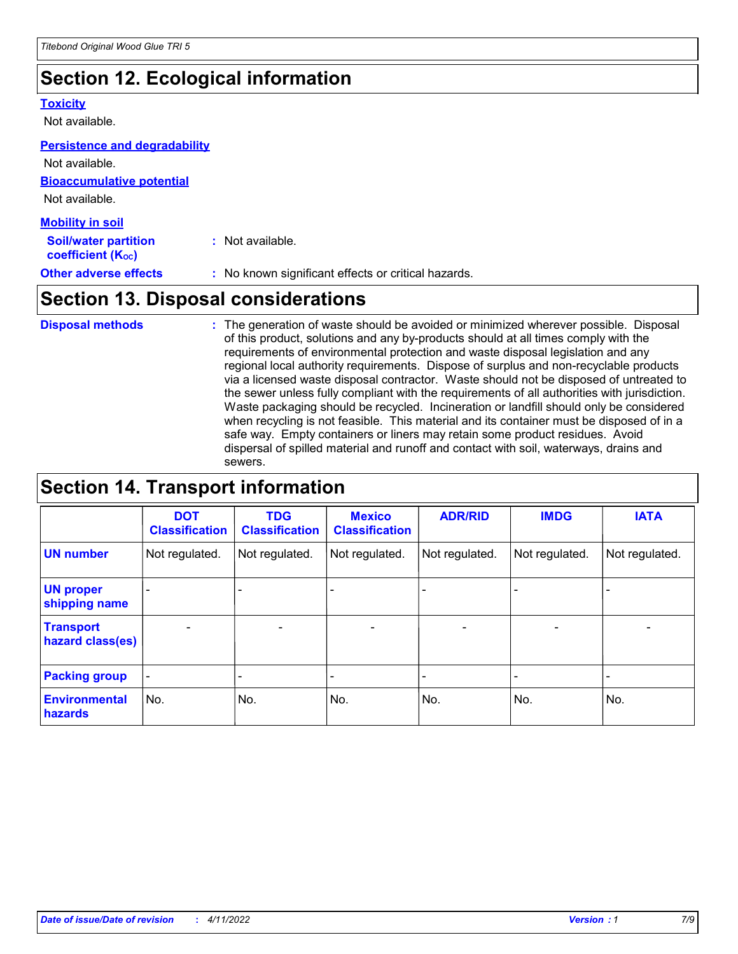# **Section 12. Ecological information**

### **Toxicity**

Not available.

### **Persistence and degradability**

**Bioaccumulative potential** Not available. **Mobility in soil** Not available.

| <b>MODINA IN SON</b>                                    |                                                     |
|---------------------------------------------------------|-----------------------------------------------------|
| <b>Soil/water partition</b><br><b>coefficient (Koc)</b> | : Not available.                                    |
| <b>Other adverse effects</b>                            | : No known significant effects or critical hazards. |

# **Section 13. Disposal considerations**

The generation of waste should be avoided or minimized wherever possible. Disposal of this product, solutions and any by-products should at all times comply with the requirements of environmental protection and waste disposal legislation and any regional local authority requirements. Dispose of surplus and non-recyclable products via a licensed waste disposal contractor. Waste should not be disposed of untreated to the sewer unless fully compliant with the requirements of all authorities with jurisdiction. Waste packaging should be recycled. Incineration or landfill should only be considered when recycling is not feasible. This material and its container must be disposed of in a safe way. Empty containers or liners may retain some product residues. Avoid dispersal of spilled material and runoff and contact with soil, waterways, drains and sewers. **Disposal methods :**

# **Section 14. Transport information**

|                                      | <b>DOT</b><br><b>Classification</b> | <b>TDG</b><br><b>Classification</b> | <b>Mexico</b><br><b>Classification</b> | <b>ADR/RID</b>               | <b>IMDG</b>              | <b>IATA</b>              |
|--------------------------------------|-------------------------------------|-------------------------------------|----------------------------------------|------------------------------|--------------------------|--------------------------|
| <b>UN number</b>                     | Not regulated.                      | Not regulated.                      | Not regulated.                         | Not regulated.               | Not regulated.           | Not regulated.           |
| <b>UN proper</b><br>shipping name    |                                     |                                     |                                        |                              |                          |                          |
| <b>Transport</b><br>hazard class(es) | $\overline{\phantom{0}}$            | $\overline{\phantom{0}}$            | $\qquad \qquad$                        | $\qquad \qquad \blacksquare$ | $\overline{\phantom{0}}$ | $\overline{\phantom{0}}$ |
| <b>Packing group</b>                 | $\blacksquare$                      | -                                   |                                        | -                            |                          | -                        |
| <b>Environmental</b><br>hazards      | No.                                 | No.                                 | No.                                    | No.                          | No.                      | No.                      |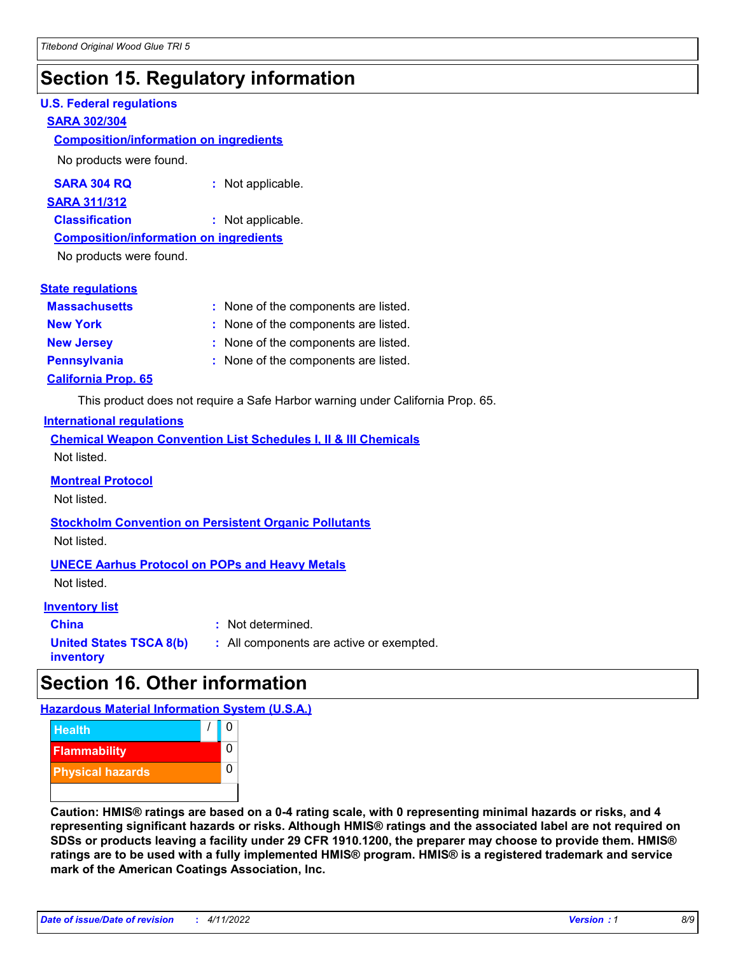# **Section 15. Regulatory information**

### **U.S. Federal regulations**

### **SARA 302/304**

### **Composition/information on ingredients**

No products were found.

| SARA 304 RQ | Not applicable. |
|-------------|-----------------|
|-------------|-----------------|

### **SARA 311/312**

**Classification :** Not applicable.

### **Composition/information on ingredients**

No products were found.

| <b>State regulations</b> |  |  |
|--------------------------|--|--|
|--------------------------|--|--|

| <b>Massachusetts</b>       | : None of the components are listed. |
|----------------------------|--------------------------------------|
| <b>New York</b>            | : None of the components are listed. |
| <b>New Jersey</b>          | : None of the components are listed. |
| <b>Pennsylvania</b>        | : None of the components are listed. |
| <b>California Prop. 65</b> |                                      |

This product does not require a Safe Harbor warning under California Prop. 65.

### **International regulations**

|             |  |  | <b>Chemical Weapon Convention List Schedules I, II &amp; III Chemicals</b> |  |
|-------------|--|--|----------------------------------------------------------------------------|--|
| Not listed. |  |  |                                                                            |  |

### **Montreal Protocol**

Not listed.

**Stockholm Convention on Persistent Organic Pollutants** Not listed.

### **UNECE Aarhus Protocol on POPs and Heavy Metals**

Not listed.

### **Inventory list**

**China :** Not determined. **United States TSCA 8(b) inventory**

### **:** All components are active or exempted.

## **Section 16. Other information**

**Hazardous Material Information System (U.S.A.)**



**Caution: HMIS® ratings are based on a 0-4 rating scale, with 0 representing minimal hazards or risks, and 4 representing significant hazards or risks. Although HMIS® ratings and the associated label are not required on SDSs or products leaving a facility under 29 CFR 1910.1200, the preparer may choose to provide them. HMIS® ratings are to be used with a fully implemented HMIS® program. HMIS® is a registered trademark and service mark of the American Coatings Association, Inc.**